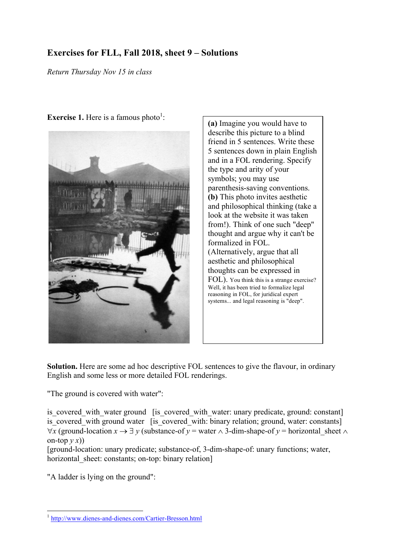## **Exercises for FLL, Fall 2018, sheet 9 – Solutions**

*Return Thursday Nov 15 in class*



**Exercise 1.** Here is a famous photo<sup>1</sup>:

**(a)** Imagine you would have to describe this picture to a blind friend in 5 sentences. Write these 5 sentences down in plain English and in a FOL rendering. Specify the type and arity of your symbols; you may use parenthesis-saving conventions. **(b)** This photo invites aesthetic and philosophical thinking (take a look at the website it was taken from!). Think of one such "deep" thought and argue why it can't be formalized in FOL. (Alternatively, argue that all aesthetic and philosophical thoughts can be expressed in FOL). You think this is a strange exercise? Well, it has been tried to formalize legal reasoning in FOL, for juridical expert systems... and legal reasoning is "deep".

**Solution.** Here are some ad hoc descriptive FOL sentences to give the flavour, in ordinary English and some less or more detailed FOL renderings.

"The ground is covered with water":

is covered with water ground [is covered with water: unary predicate, ground: constant] is covered with ground water [is covered with: binary relation; ground, water: constants]  $\forall x$  (ground-location  $x \to \exists y$  (substance-of  $y =$  water  $\wedge$  3-dim-shape-of  $y =$  horizontal sheet  $\wedge$ on-top  $v(x)$ )

[ground-location: unary predicate; substance-of, 3-dim-shape-of: unary functions; water, horizontal sheet: constants; on-top: binary relation]

"A ladder is lying on the ground":

 <sup>1</sup> http://www.dienes-and-dienes.com/Cartier-Bresson.html